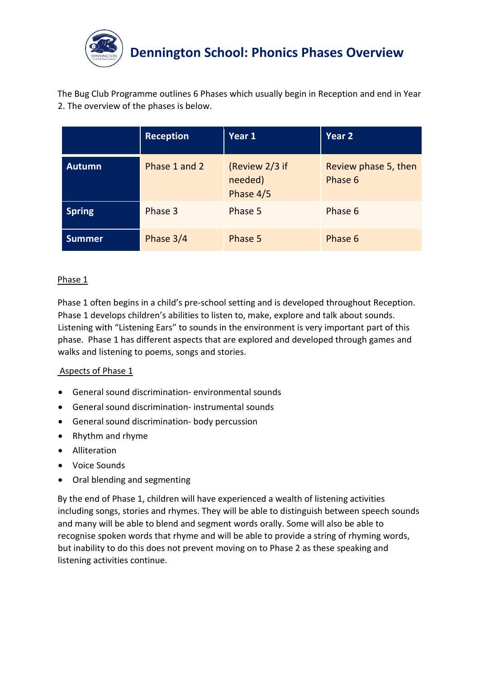

The Bug Club Programme outlines 6 Phases which usually begin in Reception and end in Year 2. The overview of the phases is below.

|               | <b>Reception</b> | Year 1                                 | Year 2                          |
|---------------|------------------|----------------------------------------|---------------------------------|
| <b>Autumn</b> | Phase 1 and 2    | (Review 2/3 if<br>needed)<br>Phase 4/5 | Review phase 5, then<br>Phase 6 |
| <b>Spring</b> | Phase 3          | Phase 5                                | Phase 6                         |
| <b>Summer</b> | Phase 3/4        | Phase 5                                | Phase 6                         |

## Phase 1

Phase 1 often begins in a child's pre-school setting and is developed throughout Reception. Phase 1 develops children's abilities to listen to, make, explore and talk about sounds. Listening with "Listening Ears" to sounds in the environment is very important part of this phase. Phase 1 has different aspects that are explored and developed through games and walks and listening to poems, songs and stories.

## Aspects of Phase 1

- General sound discrimination- environmental sounds
- General sound discrimination- instrumental sounds
- General sound discrimination- body percussion
- Rhythm and rhyme
- Alliteration
- Voice Sounds
- Oral blending and segmenting

By the end of Phase 1, children will have experienced a wealth of listening activities including songs, stories and rhymes. They will be able to distinguish between speech sounds and many will be able to blend and segment words orally. Some will also be able to recognise spoken words that rhyme and will be able to provide a string of rhyming words, but inability to do this does not prevent moving on to Phase 2 as these speaking and listening activities continue.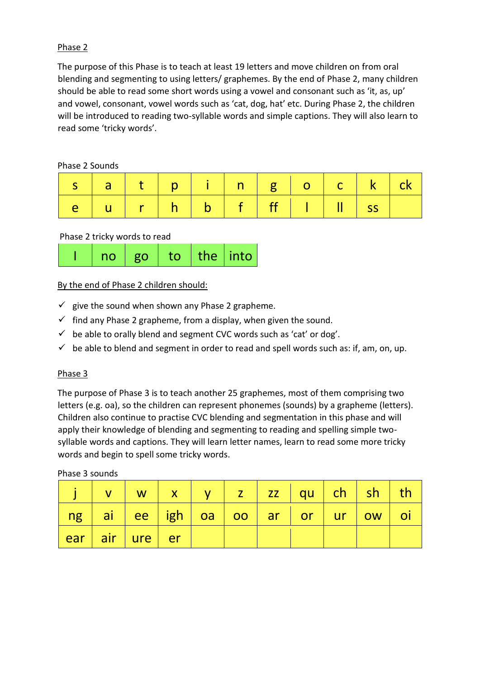## Phase 2

The purpose of this Phase is to teach at least 19 letters and move children on from oral blending and segmenting to using letters/ graphemes. By the end of Phase 2, many children should be able to read some short words using a vowel and consonant such as 'it, as, up' and vowel, consonant, vowel words such as 'cat, dog, hat' etc. During Phase 2, the children will be introduced to reading two-syllable words and simple captions. They will also learn to read some 'tricky words'.

Phase 2 Sounds

| s  a   t   p   i   n   g   o   c   k   ck |  |  |  |  |  |
|-------------------------------------------|--|--|--|--|--|
| e   u   r   h   b   f   ff   l   ll   ss  |  |  |  |  |  |

#### Phase 2 tricky words to read

| $\vert$ no $\vert$ go $\vert$ to $\vert$ the $\vert$ into $\vert$ |
|-------------------------------------------------------------------|
|-------------------------------------------------------------------|

## By the end of Phase 2 children should:

- $\checkmark$  give the sound when shown any Phase 2 grapheme.
- $\checkmark$  find any Phase 2 grapheme, from a display, when given the sound.
- $\checkmark$  be able to orally blend and segment CVC words such as 'cat' or dog'.
- $\checkmark$  be able to blend and segment in order to read and spell words such as: if, am, on, up.

## Phase 3

The purpose of Phase 3 is to teach another 25 graphemes, most of them comprising two letters (e.g. oa), so the children can represent phonemes (sounds) by a grapheme (letters). Children also continue to practise CVC blending and segmentation in this phase and will apply their knowledge of blending and segmenting to reading and spelling simple twosyllable words and captions. They will learn letter names, learn to read some more tricky words and begin to spell some tricky words.

Phase 3 sounds

|  |                |  |  |  | v   w   x   y   z   zz   qu   ch   sh   th            |  |
|--|----------------|--|--|--|-------------------------------------------------------|--|
|  |                |  |  |  | ng   ai   ee   igh   oa   oo   ar   or   ur   ow   oi |  |
|  | ear air ure er |  |  |  |                                                       |  |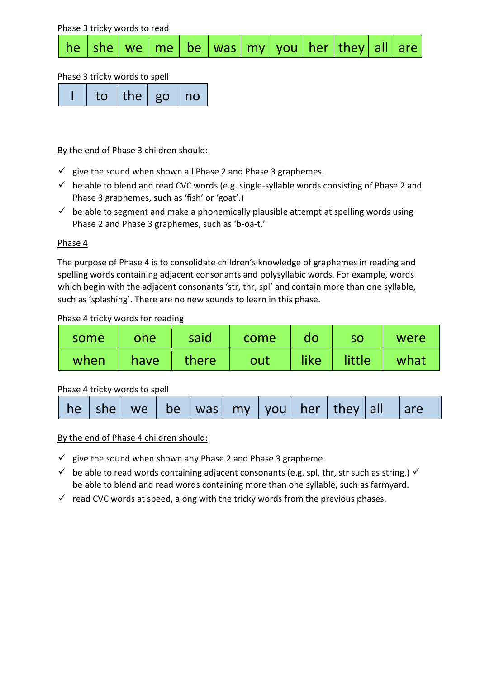Phase 3 tricky words to read he she we me be was my you her they all are

#### Phase 3 tricky words to spell

| to the go no |
|--------------|
|--------------|

#### By the end of Phase 3 children should:

- $\checkmark$  give the sound when shown all Phase 2 and Phase 3 graphemes.
- $\checkmark$  be able to blend and read CVC words (e.g. single-syllable words consisting of Phase 2 and Phase 3 graphemes, such as 'fish' or 'goat'.)
- $\checkmark$  be able to segment and make a phonemically plausible attempt at spelling words using Phase 2 and Phase 3 graphemes, such as 'b-oa-t.'

#### Phase 4

The purpose of Phase 4 is to consolidate children's knowledge of graphemes in reading and spelling words containing adjacent consonants and polysyllabic words. For example, words which begin with the adjacent consonants 'str, thr, spl' and contain more than one syllable, such as 'splashing'. There are no new sounds to learn in this phase.

#### Phase 4 tricky words for reading

| some | one  | said  | come | do   | <b>SO</b> | were |
|------|------|-------|------|------|-----------|------|
| when | have | there | out  | like | little    | what |

## Phase 4 tricky words to spell

By the end of Phase 4 children should:

- $\checkmark$  give the sound when shown any Phase 2 and Phase 3 grapheme.
- $\checkmark$  be able to read words containing adjacent consonants (e.g. spl, thr, str such as string.)  $\checkmark$ be able to blend and read words containing more than one syllable, such as farmyard.
- $\checkmark$  read CVC words at speed, along with the tricky words from the previous phases.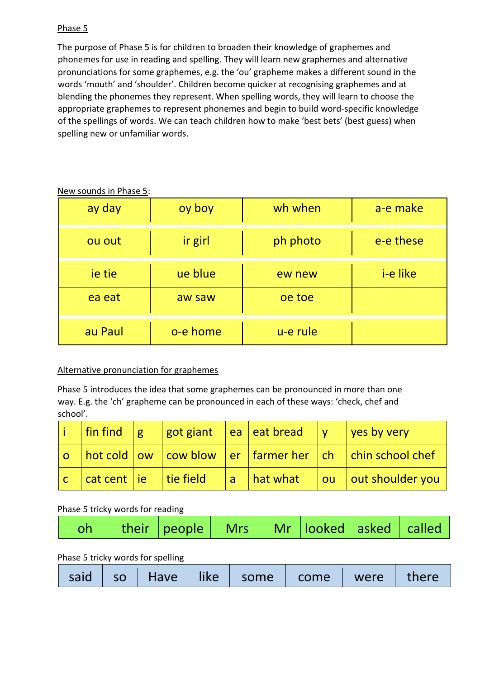## Phase 5

The purpose of Phase 5 is for children to broaden their knowledge of graphemes and phonemes for use in reading and spelling. They will learn new graphemes and alternative pronunciations for some graphemes, e.g. the 'ou' grapheme makes a different sound in the words 'mouth' and 'shoulder'. Children become quicker at recognising graphemes and at blending the phonemes they represent. When spelling words, they will learn to choose the appropriate graphemes to represent phonemes and begin to build word-specific knowledge of the spellings of words. We can teach children how to make 'best bets' (best guess) when spelling new or unfamiliar words.

| ay day  | oy boy   | wh when  | a-e make        |
|---------|----------|----------|-----------------|
| ou out  | ir girl  | ph photo | e-e these       |
| ie tie  | ue blue  | ew new   | <i>i-e like</i> |
| ea eat  | aw saw   | oe toe   |                 |
| au Paul | o-e home | u-e rule |                 |

New sounds in Phase 5:

# Alternative pronunciation for graphemes

Phase 5 introduces the idea that some graphemes can be pronounced in more than one way. E.g. the 'ch' grapheme can be pronounced in each of these ways: 'check, chef and school'.

| $\left  \text{fin find } \right $ $g$ |  | $\sqrt{g}$ got giant $\sqrt{g}$ eat bread $\sqrt{g}$ $\sqrt{g}$ yes by very |                                                                                                                          |
|---------------------------------------|--|-----------------------------------------------------------------------------|--------------------------------------------------------------------------------------------------------------------------|
|                                       |  |                                                                             | $\vert$ o $\vert$ hot cold $\vert$ ow $\vert$ cow blow $\vert$ er $\vert$ farmer her $\vert$ ch $\vert$ chin school chef |
|                                       |  |                                                                             | $\vert c \vert$ cat cent $\vert$ ie $\vert$ tie field $\vert a \vert$ hat what $\vert$ ou $\vert$ out shoulder you       |

## Phase 5 tricky words for reading

| oh   their   people   Mrs   Mr   looked   asked   called |  |  |  |  |  |
|----------------------------------------------------------|--|--|--|--|--|
|----------------------------------------------------------|--|--|--|--|--|

# Phase 5 tricky words for spelling

| said   so   Have   like   some   come   were   there |  |  |  |  |
|------------------------------------------------------|--|--|--|--|
|------------------------------------------------------|--|--|--|--|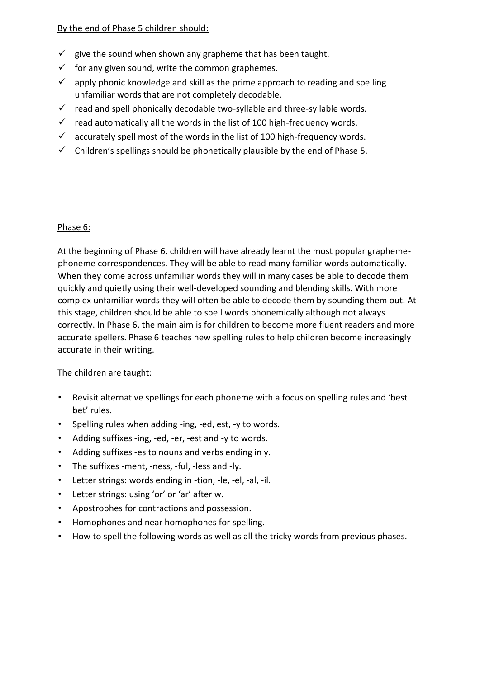### By the end of Phase 5 children should:

- $\checkmark$  give the sound when shown any grapheme that has been taught.
- $\checkmark$  for any given sound, write the common graphemes.
- $\checkmark$  apply phonic knowledge and skill as the prime approach to reading and spelling unfamiliar words that are not completely decodable.
- $\checkmark$  read and spell phonically decodable two-syllable and three-syllable words.
- $\checkmark$  read automatically all the words in the list of 100 high-frequency words.
- $\checkmark$  accurately spell most of the words in the list of 100 high-frequency words.
- $\checkmark$  Children's spellings should be phonetically plausible by the end of Phase 5.

#### Phase 6:

At the beginning of Phase 6, children will have already learnt the most popular graphemephoneme correspondences. They will be able to read many familiar words automatically. When they come across unfamiliar words they will in many cases be able to decode them quickly and quietly using their well-developed sounding and blending skills. With more complex unfamiliar words they will often be able to decode them by sounding them out. At this stage, children should be able to spell words phonemically although not always correctly. In Phase 6, the main aim is for children to become more fluent readers and more accurate spellers. Phase 6 teaches new spelling rules to help children become increasingly accurate in their writing.

## The children are taught:

- Revisit alternative spellings for each phoneme with a focus on spelling rules and 'best bet' rules.
- Spelling rules when adding -ing, -ed, est, -y to words.
- Adding suffixes -ing, -ed, -er, -est and -y to words.
- Adding suffixes -es to nouns and verbs ending in y.
- The suffixes -ment, -ness, -ful, -less and -ly.
- Letter strings: words ending in -tion, -le, -el, -al, -il.
- Letter strings: using 'or' or 'ar' after w.
- Apostrophes for contractions and possession.
- Homophones and near homophones for spelling.
- How to spell the following words as well as all the tricky words from previous phases.